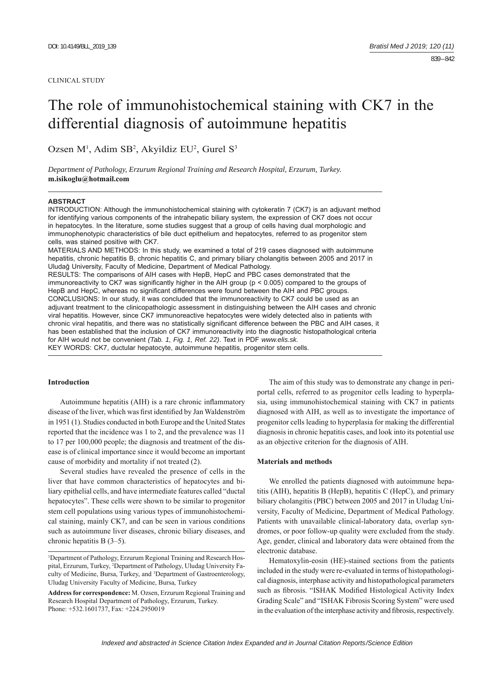#### CLINICAL STUDY

# The role of immunohistochemical staining with CK7 in the differential diagnosis of autoimmune hepatitis

Ozsen M<sup>1</sup>, Adim SB<sup>2</sup>, Akyildiz EU<sup>2</sup>, Gurel S<sup>3</sup>

*Department of Pathology, Erzurum Regional Training and Research Hospital, Erzurum, Turkey.*  **m.isikoglu@hotmail.com**

#### **ABSTRACT**

INTRODUCTION: Although the immunohistochemical staining with cytokeratin 7 (CK7) is an adjuvant method for identifying various components of the intrahepatic biliary system, the expression of CK7 does not occur in hepatocytes. In the literature, some studies suggest that a group of cells having dual morphologic and immunophenotypic characteristics of bile duct epithelium and hepatocytes, referred to as progenitor stem cells, was stained positive with CK7.

MATERIALS AND METHODS: In this study, we examined a total of 219 cases diagnosed with autoimmune hepatitis, chronic hepatitis B, chronic hepatitis C, and primary biliary cholangitis between 2005 and 2017 in Uludağ University, Faculty of Medicine, Department of Medical Pathology.

RESULTS: The comparisons of AIH cases with HepB, HepC and PBC cases demonstrated that the immunoreactivity to CK7 was significantly higher in the AIH group ( $p < 0.005$ ) compared to the groups of HepB and HepC, whereas no significant differences were found between the AIH and PBC groups. CONCLUSIONS: In our study, it was concluded that the immunoreactivity to CK7 could be used as an adjuvant treatment to the clinicopathologic assessment in distinguishing between the AIH cases and chronic viral hepatitis. However, since CK7 immunoreactive hepatocytes were widely detected also in patients with chronic viral hepatitis, and there was no statistically significant difference between the PBC and AIH cases, it has been established that the inclusion of CK7 immunoreactivity into the diagnostic histopathological criteria for AIH would not be convenient *(Tab. 1, Fig. 1, Ref. 22)*. Text in PDF *www.elis.sk.* KEY WORDS: CK7, ductular hepatocyte, autoimmune hepatitis, progenitor stem cells.

## **Introduction**

Autoimmune hepatitis (AIH) is a rare chronic inflammatory disease of the liver, which was first identified by Jan Waldenström in 1951 (1). Studies conducted in both Europe and the United States reported that the incidence was 1 to 2, and the prevalence was 11 to 17 per 100,000 people; the diagnosis and treatment of the disease is of clinical importance since it would become an important cause of morbidity and mortality if not treated (2).

Several studies have revealed the presence of cells in the liver that have common characteristics of hepatocytes and biliary epithelial cells, and have intermediate features called "ductal hepatocytes". These cells were shown to be similar to progenitor stem cell populations using various types of immunohistochemical staining, mainly CK7, and can be seen in various conditions such as autoimmune liver diseases, chronic biliary diseases, and chronic hepatitis B (3‒5).

The aim of this study was to demonstrate any change in periportal cells, referred to as progenitor cells leading to hyperplasia, using immunohistochemical staining with CK7 in patients diagnosed with AIH, as well as to investigate the importance of progenitor cells leading to hyperplasia for making the differential diagnosis in chronic hepatitis cases, and look into its potential use as an objective criterion for the diagnosis of AIH.

#### **Materials and methods**

We enrolled the patients diagnosed with autoimmune hepatitis (AIH), hepatitis B (HepB), hepatitis C (HepC), and primary biliary cholangitis (PBC) between 2005 and 2017 in Uludag University, Faculty of Medicine, Department of Medical Pathology. Patients with unavailable clinical-laboratory data, overlap syndromes, or poor follow-up quality were excluded from the study. Age, gender, clinical and laboratory data were obtained from the electronic database.

Hematoxylin-eosin (HE)-stained sections from the patients included in the study were re-evaluated in terms of histopathological diagnosis, interphase activity and histopathological parameters such as fibrosis. "ISHAK Modified Histological Activity Index Grading Scale" and "ISHAK Fibrosis Scoring System" were used in the evaluation of the interphase activity and fibrosis, respectively.

<sup>&</sup>lt;sup>1</sup>Department of Pathology, Erzurum Regional Training and Research Hospital, Erzurum, Turkey, 2 Department of Pathology, Uludag University Faculty of Medicine, Bursa, Turkey, and <sup>3</sup>Department of Gastroenterology, Uludag University Faculty of Medicine, Bursa, Turkey

**Address for correspondence:** M. Ozsen, Erzurum Regional Training and Research Hospital Department of Pathology, Erzurum, Turkey. Phone: +532.1601737, Fax: +224.2950019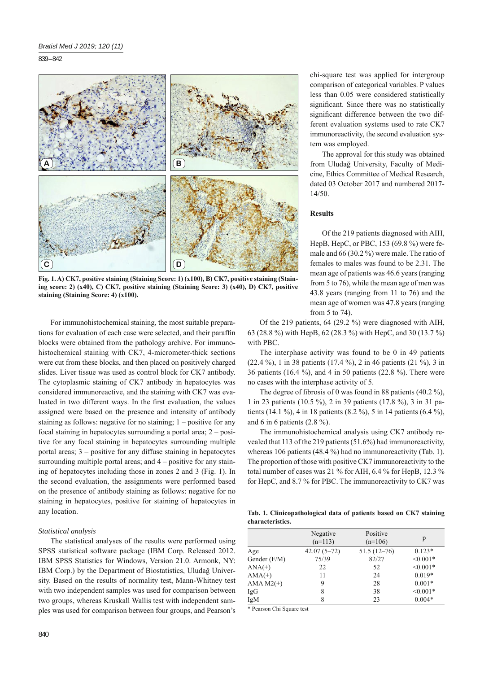839 – 842



**Fig. 1. A) CK7, positive staining (Staining Score: 1) (x100), B) CK7, positive staining (Staining score: 2) (x40), C) CK7, positive staining (Staining Score: 3) (x40), D) CK7, positive staining (Staining Score: 4) (x100).**

For immunohistochemical staining, the most suitable preparations for evaluation of each case were selected, and their paraffin blocks were obtained from the pathology archive. For immunohistochemical staining with CK7, 4-micrometer-thick sections were cut from these blocks, and then placed on positively charged slides. Liver tissue was used as control block for CK7 antibody. The cytoplasmic staining of CK7 antibody in hepatocytes was considered immunoreactive, and the staining with CK7 was evaluated in two different ways. In the first evaluation, the values assigned were based on the presence and intensity of antibody staining as follows: negative for no staining;  $1 -$  positive for any focal staining in hepatocytes surrounding a portal area;  $2 -$  positive for any focal staining in hepatocytes surrounding multiple portal areas;  $3$  – positive for any diffuse staining in hepatocytes surrounding multiple portal areas; and  $4$  – positive for any staining of hepatocytes including those in zones 2 and 3 (Fig. 1). In the second evaluation, the assignments were performed based on the presence of antibody staining as follows: negative for no staining in hepatocytes, positive for staining of hepatocytes in any location.

#### *Statistical analysis*

The statistical analyses of the results were performed using SPSS statistical software package (IBM Corp. Released 2012. IBM SPSS Statistics for Windows, Version 21.0. Armonk, NY: IBM Corp.) by the Department of Biostatistics, Uludağ University. Based on the results of normality test, Mann-Whitney test with two independent samples was used for comparison between two groups, whereas Kruskall Wallis test with independent samples was used for comparison between four groups, and Pearson's chi-square test was applied for intergroup comparison of categorical variables. P values less than 0.05 were considered statistically significant. Since there was no statistically significant difference between the two different evaluation systems used to rate CK7 immunoreactivity, the second evaluation system was employed.

The approval for this study was obtained from Uludağ University, Faculty of Medicine, Ethics Committee of Medical Research, dated 03 October 2017 and numbered 2017- 14/50.

# **Results**

Of the 219 patients diagnosed with AIH, HepB, HepC, or PBC, 153 (69.8 %) were female and 66 (30.2 %) were male. The ratio of females to males was found to be 2.31. The mean age of patients was 46.6 years (ranging from 5 to 76), while the mean age of men was 43.8 years (ranging from 11 to 76) and the mean age of women was 47.8 years (ranging from 5 to 74).

Of the 219 patients, 64 (29.2 %) were diagnosed with AIH, 63 (28.8 %) with HepB, 62 (28.3 %) with HepC, and 30 (13.7 %) with PBC.

The interphase activity was found to be 0 in 49 patients (22.4 %), 1 in 38 patients (17.4 %), 2 in 46 patients (21 %), 3 in 36 patients (16.4 %), and 4 in 50 patients (22.8 %). There were no cases with the interphase activity of 5.

The degree of fibrosis of 0 was found in 88 patients  $(40.2\%)$ , 1 in 23 patients (10.5 %), 2 in 39 patients (17.8 %), 3 in 31 patients (14.1 %), 4 in 18 patients (8.2 %), 5 in 14 patients (6.4 %), and 6 in 6 patients (2.8 %).

The immunohistochemical analysis using CK7 antibody revealed that 113 of the 219 patients (51.6%) had immunoreactivity, whereas 106 patients (48.4 %) had no immunoreactivity (Tab. 1). The proportion of those with positive CK7 immunoreactivity to the total number of cases was 21 % for AIH, 6.4 % for HepB, 12.3 % for HepC, and 8.7 % for PBC. The immunoreactivity to CK7 was

**Tab. 1. Clinicopathological data of patients based on CK7 staining characteristics.**

|              | Negative<br>$(n=113)$ | Positive<br>$(n=106)$ | p          |
|--------------|-----------------------|-----------------------|------------|
| Age          | $42.07(5 - 72)$       | $51.5(12-76)$         | $0.123*$   |
| Gender (F/M) | 75/39                 | 82/27                 | $< 0.001*$ |
| $ANA(+)$     | 22                    | 52                    | $< 0.001*$ |
| $AMA(+)$     | 11                    | 24                    | $0.019*$   |
| $AMA M2(+)$  | 9                     | 28                    | $0.001*$   |
| IgG          | 8                     | 38                    | $< 0.001*$ |
| IgM          | 8                     | 23                    | $0.004*$   |

\* Pearson Chi Square test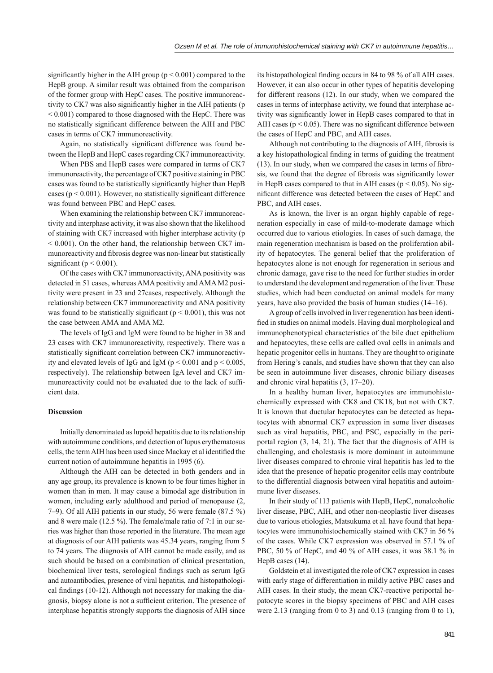significantly higher in the AIH group ( $p < 0.001$ ) compared to the HepB group. A similar result was obtained from the comparison of the former group with HepC cases. The positive immunoreactivity to CK7 was also significantly higher in the AIH patients (p < 0.001) compared to those diagnosed with the HepC. There was no statistically significant difference between the AIH and PBC cases in terms of CK7 immunoreactivity.

Again, no statistically significant difference was found between the HepB and HepC cases regarding CK7 immunoreactivity.

When PBS and HepB cases were compared in terms of CK7 immunoreactivity, the percentage of CK7 positive staining in PBC cases was found to be statistically significantly higher than HepB cases ( $p < 0.001$ ). However, no statistically significant difference was found between PBC and HepC cases.

When examining the relationship between CK7 immunoreactivity and interphase activity, it was also shown that the likelihood of staining with CK7 increased with higher interphase activity (p  $<$  0.001). On the other hand, the relationship between CK7 immunoreactivity and fibrosis degree was non-linear but statistically significant ( $p < 0.001$ ).

Of the cases with CK7 immunoreactivity, ANA positivity was detected in 51 cases, whereas AMA positivity and AMA M2 positivity were present in 23 and 27cases, respectively. Although the relationship between CK7 immunoreactivity and ANA positivity was found to be statistically significant ( $p < 0.001$ ), this was not the case between AMA and AMA M2.

The levels of IgG and IgM were found to be higher in 38 and 23 cases with CK7 immunoreactivity, respectively. There was a statistically significant correlation between CK7 immunoreactivity and elevated levels of IgG and IgM ( $p \le 0.001$  and  $p \le 0.005$ , respectively). The relationship between IgA level and CK7 immunoreactivity could not be evaluated due to the lack of sufficient data.

#### **Discussion**

Initially denominated as lupoid hepatitis due to its relationship with autoimmune conditions, and detection of lupus erythematosus cells, the term AIH has been used since Mackay et al identified the current notion of autoimmune hepatitis in 1995 (6).

Although the AIH can be detected in both genders and in any age group, its prevalence is known to be four times higher in women than in men. It may cause a bimodal age distribution in women, including early adulthood and period of menopause (2, 7‒9). Of all AIH patients in our study, 56 were female (87.5 %) and 8 were male (12.5 %). The female/male ratio of 7:1 in our series was higher than those reported in the literature. The mean age at diagnosis of our AIH patients was 45.34 years, ranging from 5 to 74 years. The diagnosis of AIH cannot be made easily, and as such should be based on a combination of clinical presentation, biochemical liver tests, serological findings such as serum IgG and autoantibodies, presence of viral hepatitis, and histopathological findings (10-12). Although not necessary for making the diagnosis, biopsy alone is not a sufficient criterion. The presence of interphase hepatitis strongly supports the diagnosis of AIH since

its histopathological finding occurs in 84 to 98 % of all AIH cases. However, it can also occur in other types of hepatitis developing for different reasons (12). In our study, when we compared the cases in terms of interphase activity, we found that interphase activity was significantly lower in HepB cases compared to that in AIH cases ( $p < 0.05$ ). There was no significant difference between the cases of HepC and PBC, and AIH cases.

Although not contributing to the diagnosis of AIH, fibrosis is a key histopathological finding in terms of guiding the treatment  $(13)$ . In our study, when we compared the cases in terms of fibrosis, we found that the degree of fibrosis was significantly lower in HepB cases compared to that in AIH cases ( $p \le 0.05$ ). No significant difference was detected between the cases of HepC and PBC, and AIH cases.

As is known, the liver is an organ highly capable of regeneration especially in case of mild-to-moderate damage which occurred due to various etiologies. In cases of such damage, the main regeneration mechanism is based on the proliferation ability of hepatocytes. The general belief that the proliferation of hepatocytes alone is not enough for regeneration in serious and chronic damage, gave rise to the need for further studies in order to understand the development and regeneration of the liver. These studies, which had been conducted on animal models for many years, have also provided the basis of human studies (14–16).

A group of cells involved in liver regeneration has been identified in studies on animal models. Having dual morphological and immunophenotypical characteristics of the bile duct epithelium and hepatocytes, these cells are called oval cells in animals and hepatic progenitor cells in humans. They are thought to originate from Hering's canals, and studies have shown that they can also be seen in autoimmune liver diseases, chronic biliary diseases and chronic viral hepatitis  $(3, 17-20)$ .

In a healthy human liver, hepatocytes are immunohistochemically expressed with CK8 and CK18, but not with CK7. It is known that ductular hepatocytes can be detected as hepatocytes with abnormal CK7 expression in some liver diseases such as viral hepatitis, PBC, and PSC, especially in the periportal region (3, 14, 21). The fact that the diagnosis of AIH is challenging, and cholestasis is more dominant in autoimmune liver diseases compared to chronic viral hepatitis has led to the idea that the presence of hepatic progenitor cells may contribute to the differential diagnosis between viral hepatitis and autoimmune liver diseases.

In their study of 113 patients with HepB, HepC, nonalcoholic liver disease, PBC, AIH, and other non-neoplastic liver diseases due to various etiologies, Matsukuma et al. have found that hepatocytes were immunohistochemically stained with CK7 in 56 % of the cases. While CK7 expression was observed in 57.1 % of PBC, 50 % of HepC, and 40 % of AIH cases, it was 38.1 % in HepB cases (14).

Goldstein et al investigated the role of CK7 expression in cases with early stage of differentiation in mildly active PBC cases and AIH cases. In their study, the mean CK7-reactive periportal hepatocyte scores in the biopsy specimens of PBC and AIH cases were 2.13 (ranging from 0 to 3) and 0.13 (ranging from 0 to 1),